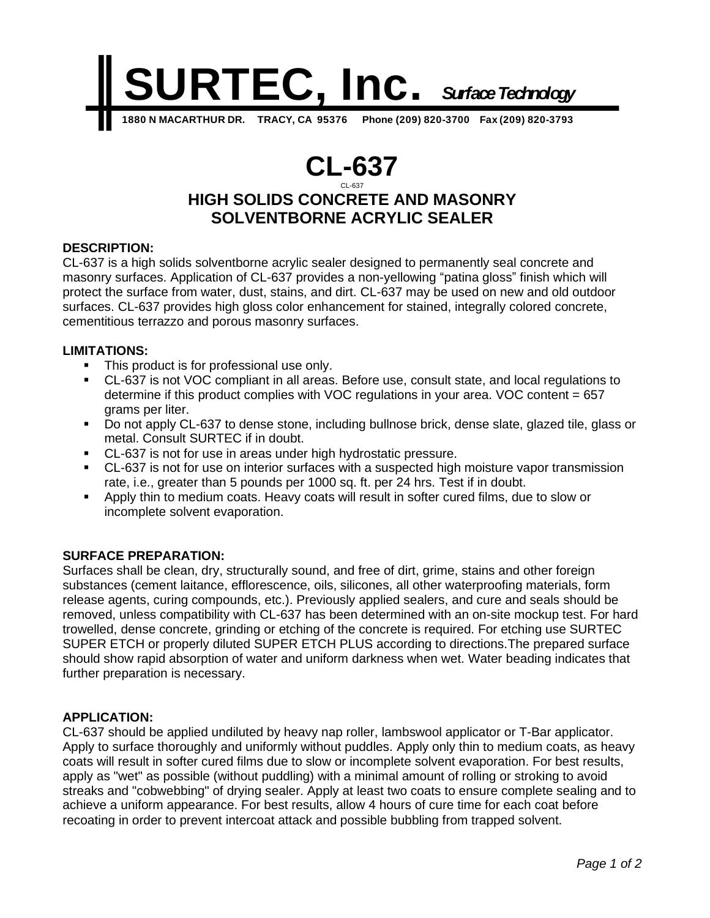

# **CL-637** CL-637

# **HIGH SOLIDS CONCRETE AND MASONRY SOLVENTBORNE ACRYLIC SEALER**

## **DESCRIPTION:**

CL-637 is a high solids solventborne acrylic sealer designed to permanently seal concrete and masonry surfaces. Application of CL-637 provides a non-yellowing "patina gloss" finish which will protect the surface from water, dust, stains, and dirt. CL-637 may be used on new and old outdoor surfaces. CL-637 provides high gloss color enhancement for stained, integrally colored concrete, cementitious terrazzo and porous masonry surfaces.

#### **LIMITATIONS:**

- **•** This product is for professional use only.
- CL-637 is not VOC compliant in all areas. Before use, consult state, and local regulations to determine if this product complies with VOC regulations in your area. VOC content = 657 grams per liter.
- Do not apply CL-637 to dense stone, including bullnose brick, dense slate, glazed tile, glass or metal. Consult SURTEC if in doubt.
- CL-637 is not for use in areas under high hydrostatic pressure.
- CL-637 is not for use on interior surfaces with a suspected high moisture vapor transmission rate, i.e., greater than 5 pounds per 1000 sq. ft. per 24 hrs. Test if in doubt.
- Apply thin to medium coats. Heavy coats will result in softer cured films, due to slow or incomplete solvent evaporation.

## **SURFACE PREPARATION:**

Surfaces shall be clean, dry, structurally sound, and free of dirt, grime, stains and other foreign substances (cement laitance, efflorescence, oils, silicones, all other waterproofing materials, form release agents, curing compounds, etc.). Previously applied sealers, and cure and seals should be removed, unless compatibility with CL-637 has been determined with an on-site mockup test. For hard trowelled, dense concrete, grinding or etching of the concrete is required. For etching use SURTEC SUPER ETCH or properly diluted SUPER ETCH PLUS according to directions.The prepared surface should show rapid absorption of water and uniform darkness when wet. Water beading indicates that further preparation is necessary.

#### **APPLICATION:**

CL-637 should be applied undiluted by heavy nap roller, lambswool applicator or T-Bar applicator. Apply to surface thoroughly and uniformly without puddles. Apply only thin to medium coats, as heavy coats will result in softer cured films due to slow or incomplete solvent evaporation. For best results, apply as "wet" as possible (without puddling) with a minimal amount of rolling or stroking to avoid streaks and "cobwebbing" of drying sealer. Apply at least two coats to ensure complete sealing and to achieve a uniform appearance. For best results, allow 4 hours of cure time for each coat before recoating in order to prevent intercoat attack and possible bubbling from trapped solvent.